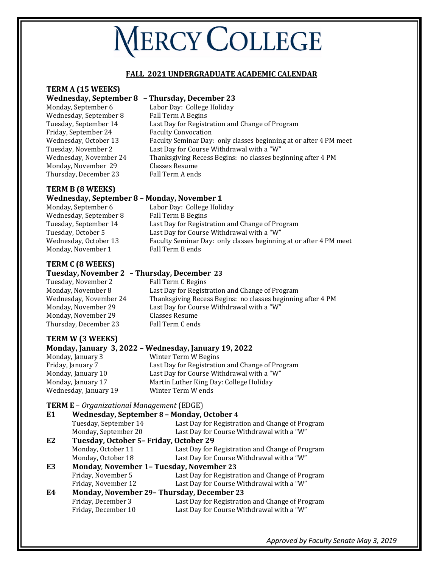# **NERCY COLLEGE**

#### **FALL 2021 UNDERGRADUATE ACADEMIC CALENDAR**

# **TERM A (15 WEEKS)**

#### **Wednesday, September 8 – Thursday, December 23**

Monday, September 6 Labor Day: College Holiday Wednesday, September 8<br>Tuesday, September 14 Friday, September 24<br>Wednesday, October 13 Monday, November 29 Classes Resume<br>Thursday, December 23 Fall Term A ends Thursday, December 23

Last Day for Registration and Change of Program<br>Faculty Convocation Wednesday, October 13 Faculty Seminar Day: only classes beginning at or after 4 PM meet<br>Tuesday, November 2 Last Day for Course Withdrawal with a "W" Tuesday, November 2 Last Day for Course Withdrawal with a "W" Thanksgiving Recess Begins: no classes beginning after 4 PM<br>Classes Resume

# **TERM B (8 WEEKS)**

#### **Wednesday, September 8 – Monday, November 1**

| Monday, September 6    | Labor Day: College Holiday                                        |
|------------------------|-------------------------------------------------------------------|
| Wednesday, September 8 | Fall Term B Begins                                                |
| Tuesday, September 14  | Last Day for Registration and Change of Program                   |
| Tuesday, October 5     | Last Day for Course Withdrawal with a "W"                         |
| Wednesday, October 13  | Faculty Seminar Day: only classes beginning at or after 4 PM meet |
| Monday, November 1     | Fall Term B ends                                                  |
|                        |                                                                   |

## **TERM C (8 WEEKS)**

# **Tuesday, November 2 – Thursday, December 23**

Tuesday, November 2 Fall Term C Begins<br>Monday, November 8 Last Day for Regist Monday, November 29 Classes Resume Thursday, December 23

Monday, November 8 Last Day for Registration and Change of Program<br>Wednesday, November 24 Thanksgiving Recess Begins: no classes beginnin Wednesday, November 24 Thanksgiving Recess Begins: no classes beginning after 4 PM<br>Monday, November 29 Last Day for Course Withdrawal with a "W" Last Day for Course Withdrawal with a "W" Classes Resume

# **TERM W (3 WEEKS)**

# **Monday, January 3, 2022 – Wednesday, January 19, 2022**

Wednesday, January 19

Monday, January 3 Winter Term W Begins Friday, January 7 Last Day for Registration and Change of Program<br>Monday, January 10 Last Day for Course Withdrawal with a "W" Monday, January 10 Last Day for Course Withdrawal with a "W" Martin Luther King Day: College Holiday<br>Winter Term W ends

#### **TERM E** – *Organizational Management* (EDGE)

| E <sub>1</sub> | Wednesday, September 8 - Monday, October 4        |                                                 |
|----------------|---------------------------------------------------|-------------------------------------------------|
|                | Tuesday, September 14                             | Last Day for Registration and Change of Program |
|                | Monday, September 20                              | Last Day for Course Withdrawal with a "W"       |
| E <sub>2</sub> | Tuesday, October 5- Friday, October 29            |                                                 |
|                | Monday, October 11                                | Last Day for Registration and Change of Program |
|                | Monday, October 18                                | Last Day for Course Withdrawal with a "W"       |
| E3             | <b>Monday, November 1- Tuesday, November 23</b>   |                                                 |
|                | Friday, November 5                                | Last Day for Registration and Change of Program |
|                | Friday, November 12                               | Last Day for Course Withdrawal with a "W"       |
| E4             | <b>Monday, November 29- Thursday, December 23</b> |                                                 |
|                | Friday, December 3                                | Last Day for Registration and Change of Program |
|                | Friday, December 10                               | Last Day for Course Withdrawal with a "W"       |